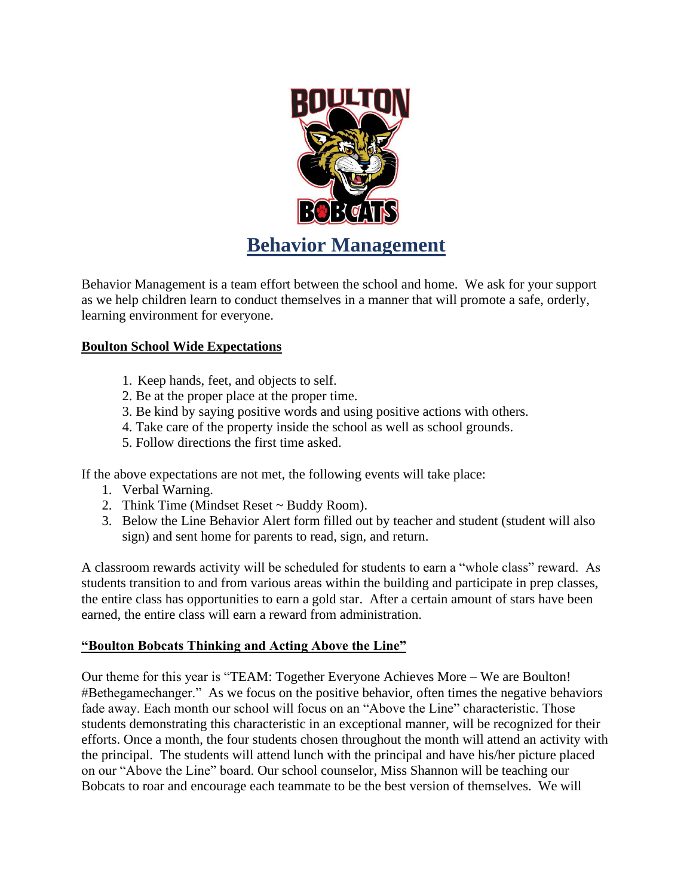

Behavior Management is a team effort between the school and home. We ask for your support as we help children learn to conduct themselves in a manner that will promote a safe, orderly, learning environment for everyone.

### **Boulton School Wide Expectations**

- 1. Keep hands, feet, and objects to self.
- 2. Be at the proper place at the proper time.
- 3. Be kind by saying positive words and using positive actions with others.
- 4. Take care of the property inside the school as well as school grounds.
- 5. Follow directions the first time asked.

If the above expectations are not met, the following events will take place:

- 1. Verbal Warning.
- 2. Think Time (Mindset Reset ~ Buddy Room).
- 3. Below the Line Behavior Alert form filled out by teacher and student (student will also sign) and sent home for parents to read, sign, and return.

A classroom rewards activity will be scheduled for students to earn a "whole class" reward. As students transition to and from various areas within the building and participate in prep classes, the entire class has opportunities to earn a gold star. After a certain amount of stars have been earned, the entire class will earn a reward from administration.

#### **"Boulton Bobcats Thinking and Acting Above the Line"**

Our theme for this year is "TEAM: Together Everyone Achieves More – We are Boulton! #Bethegamechanger." As we focus on the positive behavior, often times the negative behaviors fade away. Each month our school will focus on an "Above the Line" characteristic. Those students demonstrating this characteristic in an exceptional manner, will be recognized for their efforts. Once a month, the four students chosen throughout the month will attend an activity with the principal. The students will attend lunch with the principal and have his/her picture placed on our "Above the Line" board. Our school counselor, Miss Shannon will be teaching our Bobcats to roar and encourage each teammate to be the best version of themselves. We will